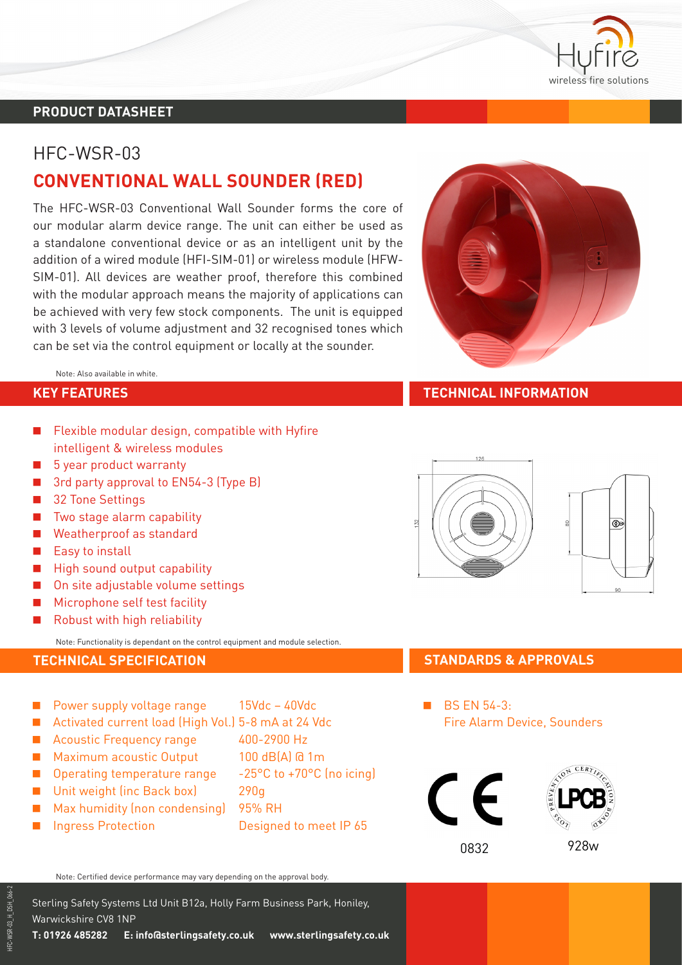

### **PRODUCT DATASHEET**

# HFC-WSR-03

# **CONVENTIONAL WALL SOUNDER (RED)**

The HFC-WSR-03 Conventional Wall Sounder forms the core of our modular alarm device range. The unit can either be used as a standalone conventional device or as an intelligent unit by the addition of a wired module (HFI-SIM-01) or wireless module (HFW-SIM-01). All devices are weather proof, therefore this combined with the modular approach means the majority of applications can be achieved with very few stock components. The unit is equipped with 3 levels of volume adjustment and 32 recognised tones which can be set via the control equipment or locally at the sounder.

Note: Also available in white.

- $\blacksquare$  Flexible modular design, compatible with Hyfire intelligent & wireless modules
- $\blacksquare$  5 year product warranty
- 3rd party approval to EN54-3 (Type B)
- **B** 32 Tone Settings
- $\blacksquare$  Two stage alarm capability
- **Neatherproof as standard**
- $\blacksquare$  Easy to install
- $\blacksquare$  High sound output capability
- $\Box$  On site adiustable volume settings
- $\blacksquare$  Microphone self test facility
- Robust with high reliability

Note: Functionality is dependant on the control equipment and module selection.

- $\blacksquare$  Power supply voltage range  $15$ Vdc 40Vdc
- Activated current load (High Vol.) 5-8 mA at 24 Vdc
- Acoustic Frequency range 400-2900 Hz
- **Maximum acoustic Output** 100 dB(A) @ 1m
- **D** Operating temperature range  $-25^{\circ}$ C to  $+70^{\circ}$ C (no icing)
- Unit weight (inc Back box) 290g
- **Max humidity (non condensing)** 95% RH
- A Ingress Protection Designed to meet IP 65
- 
- 
- 
- - -
	-
- 

Note: Certified device performance may vary depending on the approval body.

Sterling Safety Systems Ltd Unit B12a, Holly Farm Business Park, Honiley, Warwickshire CV8 1NP



#### **KEY FEATURES TECHNICAL INFORMATION**



## **TECHNICAL SPECIFICATION STANDARDS & APPROVALS**

**BS EN 54-3:** Fire Alarm Device, Sounders





HFC-WSR-03\_H\_DSH\_066-2 IFC-WSR-03\_H\_DSH\_066-2

**T: 01926 485282 E: info@sterlingsafety.co.uk www.sterlingsafety.co.uk**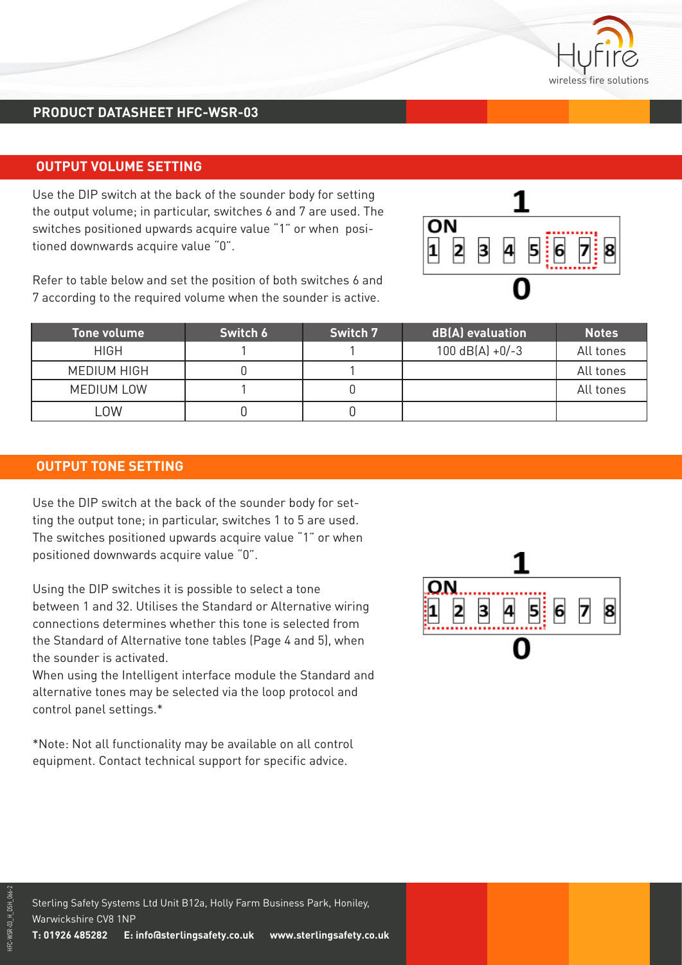

## **PRODUCT DATASHEET HFC-WSR-03**

#### **OUTPUT VOLUME SETTING**

Use the DIP switch at the back of the sounder body for setting the output volume; in particular, switches 6 and 7 are used. The switches positioned upwards acquire value "1" or when positioned downwards acquire value "0".

Refer to table below and set the position of both switches 6 and 7 according to the required volume when the sounder is active.

|  |  | 3 | 4 |  |  | $\begin{array}{c} \hline \textbf{5} & \textbf{6} & \textbf{7} \\ \hline \end{array} \begin{array}{c} \hline \textbf{8} & \textbf{8} \\ \hline \end{array}$ |  |
|--|--|---|---|--|--|------------------------------------------------------------------------------------------------------------------------------------------------------------|--|
|  |  |   |   |  |  |                                                                                                                                                            |  |

| <b>Tone volume</b> | Switch 6 | Switch 7 | dB(A) evaluation  | <b>Notes</b> |
|--------------------|----------|----------|-------------------|--------------|
| <b>HIGH</b>        |          |          | $100$ dB(A) +0/-3 | All tones    |
| <b>MEDIUM HIGH</b> |          |          |                   | All tones    |
| <b>MEDIUM LOW</b>  |          |          |                   | All tones    |
| _OW                |          |          |                   |              |

#### **OUTPUT TONE SETTING**

Use the DIP switch at the back of the sounder body for setting the output tone; in particular, switches 1 to 5 are used. The switches positioned upwards acquire value "1" or when positioned downwards acquire value "0".

Using the DIP switches it is possible to select a tone between 1 and 32. Utilises the Standard or Alternative wiring connections determines whether this tone is selected from the Standard of Alternative tone tables (Page 4 and 5), when the sounder is activated.

When using the Intelligent interface module the Standard and alternative tones may be selected via the loop protocol and control panel settings.\*

\*Note: Not all functionality may be available on all control equipment. Contact technical support for specific advice.

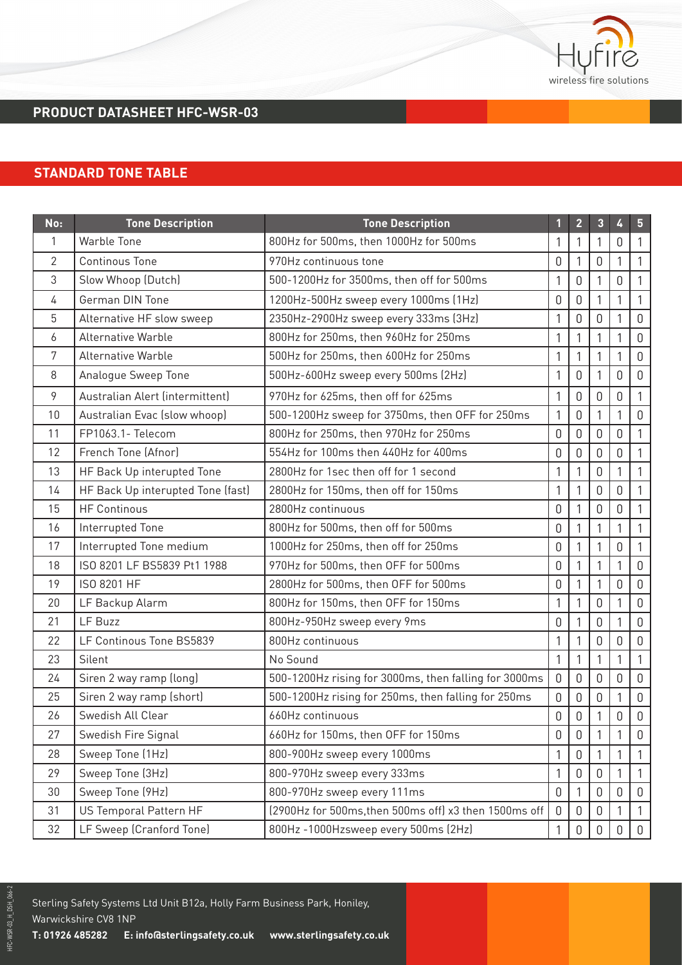

# **PRODUCT DATASHEET HFC-WSR-03**

## **STANDARD TONE TABLE**

| No: | <b>Tone Description</b>           | <b>Tone Description</b>                               |                | $\overline{2}$   | 3              | 4 | 5            |
|-----|-----------------------------------|-------------------------------------------------------|----------------|------------------|----------------|---|--------------|
| 1   | <b>Warble Tone</b>                | 800Hz for 500ms, then 1000Hz for 500ms                |                | 1                | 1              | 0 |              |
| 2   | <b>Continous Tone</b>             | 970Hz continuous tone                                 | $\Omega$       | 1                | 0              |   |              |
| 3   | Slow Whoop (Dutch)                | 500-1200Hz for 3500ms, then off for 500ms             | 1              | $\mathbf 0$      | 1              | 0 | 1            |
| 4   | German DIN Tone                   | 1200Hz-500Hz sweep every 1000ms (1Hz)                 | $\mathbf 0$    | $\mathbf 0$      | $\mathbf{1}$   | 1 | 1            |
| 5   | Alternative HF slow sweep         | 2350Hz-2900Hz sweep every 333ms (3Hz)                 | 1              | $\boldsymbol{0}$ | 0              |   | $\mathbf 0$  |
| 6   | <b>Alternative Warble</b>         | 800Hz for 250ms, then 960Hz for 250ms                 | 1              | 1                | 1              |   | $\mathbf 0$  |
| 7   | <b>Alternative Warble</b>         | 500Hz for 250ms, then 600Hz for 250ms                 | 1              | 1                | $\mathbf{1}$   |   | $\mathbf 0$  |
| 8   | Analogue Sweep Tone               | 500Hz-600Hz sweep every 500ms (2Hz)                   | 1              | $\mathbf 0$      | 1              | 0 | $\mathbf 0$  |
| 9   | Australian Alert (intermittent)   | 970Hz for 625ms, then off for 625ms                   | 1              | $\mathbf 0$      | 0              | 0 | 1            |
| 10  | Australian Evac (slow whoop)      | 500-1200Hz sweep for 3750ms, then OFF for 250ms       | 1              | $\boldsymbol{0}$ | 1              | 1 | $\mathbf 0$  |
| 11  | FP1063.1- Telecom                 | 800Hz for 250ms, then 970Hz for 250ms                 | $\mathbf 0$    | $\mathbf 0$      | 0              | 0 |              |
| 12  | French Tone (Afnor)               | 554Hz for 100ms then 440Hz for 400ms                  | 0              | $\boldsymbol{0}$ | 0              | 0 | 1            |
| 13  | HF Back Up interupted Tone        | 2800Hz for 1sec then off for 1 second                 | 1              | 1                | $\overline{0}$ | 1 | 1            |
| 14  | HF Back Up interupted Tone (fast) | 2800Hz for 150ms, then off for 150ms                  | 1              | 1                | 0              | 0 | 1            |
| 15  | <b>HF Continous</b>               | 2800Hz continuous                                     | 0              | 1                | 0              | 0 |              |
| 16  | Interrupted Tone                  | 800Hz for 500ms, then off for 500ms                   | $\mathbf 0$    | 1                | $\mathbf{1}$   |   | 1            |
| 17  | Interrupted Tone medium           | 1000Hz for 250ms, then off for 250ms                  | $\mathbf 0$    | $\mathbf{1}$     | $\mathbf{1}$   | 0 | 1            |
| 18  | ISO 8201 LF BS5839 Pt1 1988       | 970Hz for 500ms, then OFF for 500ms                   | $\mathbf 0$    | 1                | 1              |   | $\mathbf 0$  |
| 19  | ISO 8201 HF                       | 2800Hz for 500ms, then OFF for 500ms                  | $\mathbf 0$    | 1                | $\mathbf{1}$   | 0 | $\mathbf 0$  |
| 20  | LF Backup Alarm                   | 800Hz for 150ms, then OFF for 150ms                   | 1              | 1                | 0              |   | $\mathbf 0$  |
| 21  | LF Buzz                           | 800Hz-950Hz sweep every 9ms                           | $\mathbf 0$    | 1                | 0              | 1 | $\mathbf 0$  |
| 22  | LF Continous Tone BS5839          | 800Hz continuous                                      | 1              | 1                | 0              | 0 | $\mathbf 0$  |
| 23  | Silent                            | No Sound                                              | $\mathbf{1}$   | 1                | $\mathbf{1}$   |   | 1            |
| 24  | Siren 2 way ramp (long)           | 500-1200Hz rising for 3000ms, then falling for 3000ms | $\overline{0}$ | $\mathbf 0$      | 0              | 0 | $\mathbf 0$  |
| 25  | Siren 2 way ramp (short)          | 500-1200Hz rising for 250ms, then falling for 250ms   | $\mathbf 0$    | $\boldsymbol{0}$ | 0              | 1 | $\mathbb O$  |
| 26  | Swedish All Clear                 | 660Hz continuous                                      | $\mathbf 0$    | 0                | 1              | 0 | $\mathbf 0$  |
| 27  | Swedish Fire Signal               | 660Hz for 150ms, then OFF for 150ms                   | $\mathbf 0$    | $\mathbf 0$      | 1              |   | $\mathbf 0$  |
| 28  | Sweep Tone (1Hz)                  | 800-900Hz sweep every 1000ms                          | 1              | $\boldsymbol{0}$ | 1              |   | 1            |
| 29  | Sweep Tone (3Hz)                  | 800-970Hz sweep every 333ms                           | 1              | $\mathbf 0$      | $\mathbf 0$    | 1 | 1            |
| 30  | Sweep Tone (9Hz)                  | 800-970Hz sweep every 111ms                           | $\mathbf 0$    |                  | 0              | 0 | $\theta$     |
| 31  | US Temporal Pattern HF            | (2900Hz for 500ms, then 500ms off) x3 then 1500ms off | $\mathbf 0$    | $\boldsymbol{0}$ | 0              |   |              |
| 32  | LF Sweep (Cranford Tone)          | 800Hz -1000Hzsweep every 500ms (2Hz)                  | $\mathbf{1}$   | $\mathbf 0$      | $\mathbf 0$    | 0 | $\mathsf{O}$ |